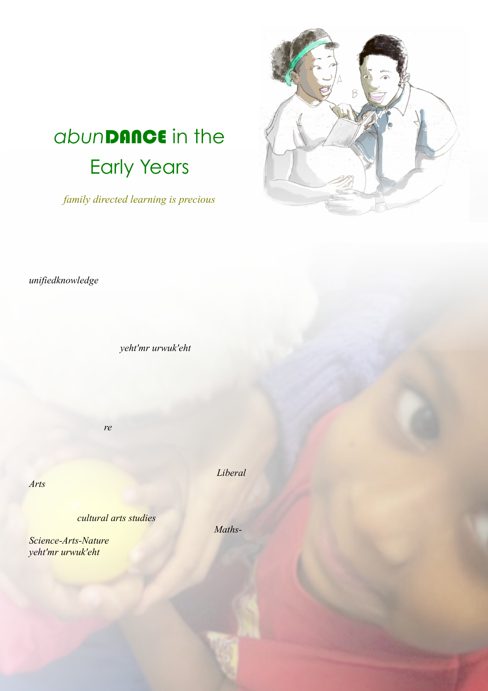

### *family directed learning is precious*

**unifiedknowledge Practice** parents from pre birth through to those with young children aged up to years We are open and valued by families of diverse cultural and religious heritage as *unifiedknowledge* that naturally form a common ground for the local community

Tuition is facilitated directly by stehmari atekun and or senior ssociate embers raduates using *yeht'mr urwuk'eht* education we will help children and families establish natural approaches to learning that truly strengthen nes baseline for self development from a

nature centred place and way of being

The principles of our approach come from a long heritage and once re explored touch that place of intuitive common sense and conscience that drives parents to secure the very best for their children s unique characters ack in the day our way of building educational foundation would be considered a "Liberal" **Arts"** schooling that is to say education for leaders and creators free minded living beings

*<u>Today it is "cultural arts studies"</u> and for us* **unifiedknowledge Practice** *Maths-Science-Arts-Nature yeht'mr urwuk'eht*the best characters from children families and community drawing on each nes naturally brilliant heritage This pioneering family centred approach to daytime education is for those committed to facilitating the best learning experiences for the young ne s in their care

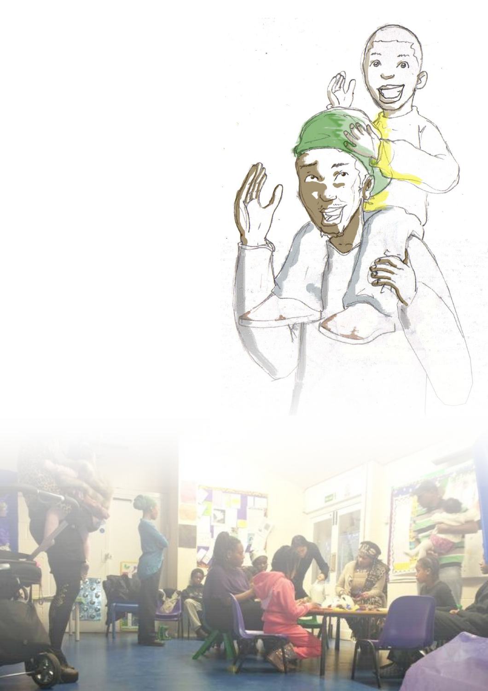## **nrolment**

nrolment for this special small group tuition is done in rolling terms of week cycles three months The format is similar to a stay and play or playgroup programme with greater emphasis on cultural intelligence and the state of the art science unity of unifiedknowledge

# **Venues**

bundance entre roject rixton oughborough ark nside the rixton ondon SW  $\overline{u}$ 

# Time

Tuesdays ridays am to pm

## ee

 $x$  R introductory sessions now £ per weeks term per parent child lexible arrangements for larger families

# rerequisite

There are no prerequisites to joiin this course arents are however invited to attend our school s rolling induction course

#### **Educating with unifiedknowledge: Foundation Course One**

Visit our website for more info on this course unifiedknowledge org